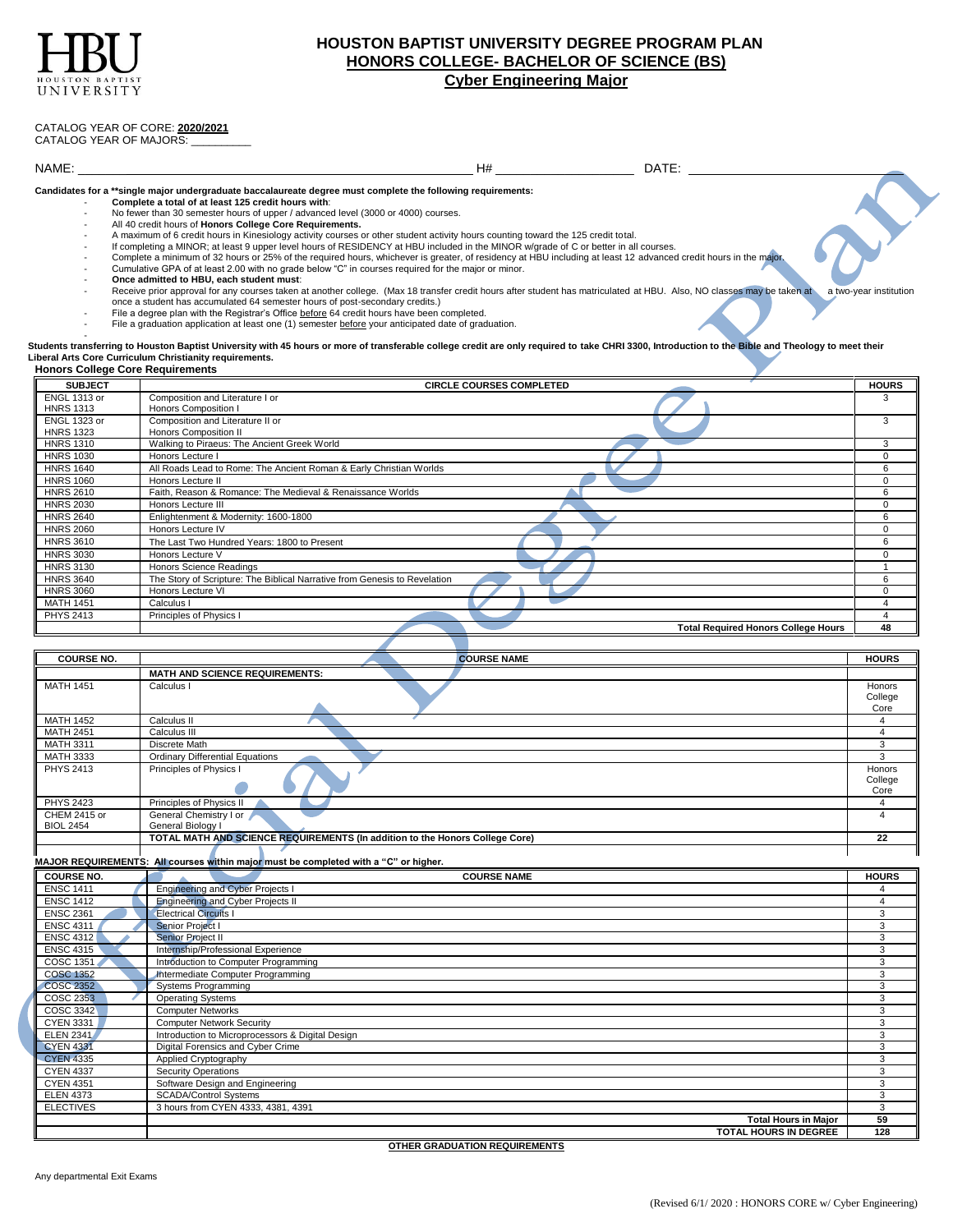

## **HOUSTON BAPTIST UNIVERSITY DEGREE PROGRAM PLAN HONORS COLLEGE- BACHELOR OF SCIENCE (BS) Cyber Engineering Major**

## CATALOG YEAR OF CORE: **2020/2021**

CATALOG YEAR OF MAJORS:

NAME: \_\_\_\_\_\_\_ H# \_\_\_\_\_\_\_\_\_\_\_\_\_\_\_\_\_\_\_\_ DATE:

**Candidates for a \*\*single major undergraduate baccalaureate degree must complete the following requirements:** - **Complete a total of at least 125 credit hours with**:

- No fewer than 30 semester hours of upper / advanced level (3000 or 4000) courses.
- All 40 credit hours of **Honors College Core Requirements.**
- A maximum of 6 credit hours in Kinesiology activity courses or other student activity hours counting toward the 125 credit total.
- If completing a MINOR; at least 9 upper level hours of RESIDENCY at HBU included in the MINOR w/grade of C or better in all courses.
- Complete a minimum of 32 hours or 25% of the required hours, whichever is greater, of residency at HBU including at least 12 advanced credit hours in the majo
- Cumulative GPA of at least 2.00 with no grade below "C" in courses required for the major or minor.
- **Once admitted to HBU, each student must**:
- Receive prior approval for any courses taken at another college. (Max 18 transfer credit hours after student has matriculated at HBU. Also, NO classes may be taken at a two-year institution once a student has accumulated 64 semester hours of post-secondary credits.)
- File a degree plan with the Registrar's Office before 64 credit hours have been completed.
- File a graduation application at least one (1) semester before your anticipated date of graduation.

en<br>Students transferring to Houston Baptist University with 45 hours or more of transferable college credit are only required to take CHRI 3300, Introduction to the Bible and Theology to meet their<br>Liberal Arts Core Curric

## **Honors College Core Requirements SUBJECT CIRCLE COURSES COMPLETED HOURS** ENGL 1313 or HNRS 1313 Composition and Literature I or Honors Composition I 3 ENGL 1323 or **HNRS 1323**<br>HNRS 1310 Composition and Literature II or Honors Composition II 3 HNRS 1310 Walking to Piraeus: The Ancient Greek World 3<br>
HNRS 1030 Honors Lecture I 0 HNRS 1030 Honors Lecture I 0 December 10 December 10 December 10 December 10 December 10 December 10 December 1 HNRS 1640 All Roads Lead to Rome: The Ancient Roman & Early Christian Worlds 6 6 All Roads All Roads Lead to Rome: The Ancient Roman & Early Christian Worlds 6 All Roads All Roads Lead to Rome: The Ancient Roman & Early Ch HNRS 1060 Honors Lecture II 0 and 20 July 2012 12:00 Honors Lecture II 0 and 20 July 2013 12:00 Honors Lecture II HNRS 2610 Faith, Reason & Romance: The Medieval & Renaissance Worlds 6 HNRS 2030 Honors Lecture III and the control of the control of the control of the control of the control of the control of the control of the control of the control of the control of the control of the control of the contr HNRS 2640 Enlightenment & Modernity: 1600-1800<br>
HNRS 2060 Honors Lecture IV 0 HNRS 2060 Honors Lecture IV 0 HNRS 3610 The Last Two Hundred Years: 1800 to Present 6<br>
HNRS 3030 Honors Lecture V HNRS 3030 Honors Lecture V 0 HNRS 3130 Honors Science Readings<br>
HNRS 3640 The Story of Scripture: The Biblical Narrative from Genesis to Revelation 6 HNRS 3640 The Story of Scripture: The Biblical Narrative from Genesis to Revelation 6<br>
HNRS 3060 Honors Lecture VI 0 HNRS 3060 Honors Lecture VI 0 and 20 April 2012 1 and 2012 1 and 2012 1 and 2012 1 and 2012 1 and 2012 1 and 20 MATH 1451 Calculus I 4 and 2012 12:00 and 2012 12:00 and 2012 12:00 and 2012 12:00 and 2012 12:00 and 2012 12:00 and 2012 12:00 and 2012 12:00 and 2012 12:00 and 2012 12:00 and 2012 12:00 and 2012 12:00 and 2012 12:00 and PHYS 2413 Principles of Physics I 4 **Total Required Honors College Hours 48**

| <b>COURSE NO.</b><br><b>MATH 1451</b><br>Calculus I<br><b>MATH 1452</b><br><b>MATH 2451</b><br><b>MATH 3311</b><br><b>MATH 3333</b><br><b>PHYS 2413</b><br><b>PHYS 2423</b><br><b>CHEM 2415 or</b><br><b>BIOL 2454</b> | <b>COURSE NAME</b><br><b>MATH AND SCIENCE REQUIREMENTS:</b><br>Calculus II<br>Calculus III<br>Discrete Math<br><b>Ordinary Differential Equations</b><br>Principles of Physics I<br>Principles of Physics II<br>General Chemistry I or<br>General Biology I<br>TOTAL MATH AND SCIENCE REQUIREMENTS (In addition to the Honors College Core)<br>MAJOR REQUIREMENTS: All courses within major must be completed with a "C" or higher. | <b>HOURS</b><br>Honors<br>College<br>Core<br>$\overline{\mathbf{A}}$<br>$\overline{\mathbf{A}}$<br>3<br>3<br>Honors<br>College<br>Core<br>$\overline{4}$<br>$\overline{\mathbf{A}}$<br>22 |  |
|------------------------------------------------------------------------------------------------------------------------------------------------------------------------------------------------------------------------|-------------------------------------------------------------------------------------------------------------------------------------------------------------------------------------------------------------------------------------------------------------------------------------------------------------------------------------------------------------------------------------------------------------------------------------|-------------------------------------------------------------------------------------------------------------------------------------------------------------------------------------------|--|
|                                                                                                                                                                                                                        |                                                                                                                                                                                                                                                                                                                                                                                                                                     |                                                                                                                                                                                           |  |
|                                                                                                                                                                                                                        |                                                                                                                                                                                                                                                                                                                                                                                                                                     |                                                                                                                                                                                           |  |
|                                                                                                                                                                                                                        |                                                                                                                                                                                                                                                                                                                                                                                                                                     |                                                                                                                                                                                           |  |
|                                                                                                                                                                                                                        |                                                                                                                                                                                                                                                                                                                                                                                                                                     |                                                                                                                                                                                           |  |
|                                                                                                                                                                                                                        |                                                                                                                                                                                                                                                                                                                                                                                                                                     |                                                                                                                                                                                           |  |
|                                                                                                                                                                                                                        |                                                                                                                                                                                                                                                                                                                                                                                                                                     |                                                                                                                                                                                           |  |
|                                                                                                                                                                                                                        |                                                                                                                                                                                                                                                                                                                                                                                                                                     |                                                                                                                                                                                           |  |
|                                                                                                                                                                                                                        |                                                                                                                                                                                                                                                                                                                                                                                                                                     |                                                                                                                                                                                           |  |
|                                                                                                                                                                                                                        |                                                                                                                                                                                                                                                                                                                                                                                                                                     |                                                                                                                                                                                           |  |
|                                                                                                                                                                                                                        |                                                                                                                                                                                                                                                                                                                                                                                                                                     |                                                                                                                                                                                           |  |
|                                                                                                                                                                                                                        |                                                                                                                                                                                                                                                                                                                                                                                                                                     |                                                                                                                                                                                           |  |
|                                                                                                                                                                                                                        |                                                                                                                                                                                                                                                                                                                                                                                                                                     |                                                                                                                                                                                           |  |
|                                                                                                                                                                                                                        |                                                                                                                                                                                                                                                                                                                                                                                                                                     |                                                                                                                                                                                           |  |
|                                                                                                                                                                                                                        |                                                                                                                                                                                                                                                                                                                                                                                                                                     |                                                                                                                                                                                           |  |
| <b>COURSE NO.</b>                                                                                                                                                                                                      | <b>COURSE NAME</b>                                                                                                                                                                                                                                                                                                                                                                                                                  | <b>HOURS</b>                                                                                                                                                                              |  |
| <b>ENSC 1411</b>                                                                                                                                                                                                       | <b>Engineering and Cyber Projects I</b>                                                                                                                                                                                                                                                                                                                                                                                             | 4                                                                                                                                                                                         |  |
| <b>ENSC 1412</b>                                                                                                                                                                                                       | <b>Engineering and Cyber Projects II</b>                                                                                                                                                                                                                                                                                                                                                                                            | 4                                                                                                                                                                                         |  |
| <b>ENSC 2361</b>                                                                                                                                                                                                       | <b>Electrical Circuits I</b>                                                                                                                                                                                                                                                                                                                                                                                                        | 3                                                                                                                                                                                         |  |
| <b>ENSC 4311</b>                                                                                                                                                                                                       | Senior Project I                                                                                                                                                                                                                                                                                                                                                                                                                    | 3                                                                                                                                                                                         |  |
| <b>ENSC 4312</b>                                                                                                                                                                                                       | Senior Project II                                                                                                                                                                                                                                                                                                                                                                                                                   | 3<br>3                                                                                                                                                                                    |  |
| <b>ENSC 4315</b>                                                                                                                                                                                                       | Internship/Professional Experience                                                                                                                                                                                                                                                                                                                                                                                                  |                                                                                                                                                                                           |  |
| <b>COSC 1351</b>                                                                                                                                                                                                       | Introduction to Computer Programming                                                                                                                                                                                                                                                                                                                                                                                                | 3                                                                                                                                                                                         |  |
| <b>COSC 1352</b>                                                                                                                                                                                                       | Intermediate Computer Programming                                                                                                                                                                                                                                                                                                                                                                                                   | 3                                                                                                                                                                                         |  |
| <b>COSC 2352</b><br><b>COSC 2353</b>                                                                                                                                                                                   | <b>Systems Programming</b><br><b>Operating Systems</b>                                                                                                                                                                                                                                                                                                                                                                              | 3<br>3                                                                                                                                                                                    |  |
| <b>COSC 3342</b>                                                                                                                                                                                                       | <b>Computer Networks</b>                                                                                                                                                                                                                                                                                                                                                                                                            | 3                                                                                                                                                                                         |  |
| CYEN 3331                                                                                                                                                                                                              | <b>Computer Network Security</b>                                                                                                                                                                                                                                                                                                                                                                                                    | 3                                                                                                                                                                                         |  |
| <b>ELEN 2341</b>                                                                                                                                                                                                       | Introduction to Microprocessors & Digital Design                                                                                                                                                                                                                                                                                                                                                                                    | 3                                                                                                                                                                                         |  |
| <b>CYEN 4331</b>                                                                                                                                                                                                       |                                                                                                                                                                                                                                                                                                                                                                                                                                     | 3                                                                                                                                                                                         |  |
| <b>CYEN 4335</b>                                                                                                                                                                                                       | Digital Forensics and Cyber Crime<br>Applied Cryptography                                                                                                                                                                                                                                                                                                                                                                           |                                                                                                                                                                                           |  |
| <b>CYEN 4337</b>                                                                                                                                                                                                       | <b>Security Operations</b>                                                                                                                                                                                                                                                                                                                                                                                                          |                                                                                                                                                                                           |  |
| <b>CYEN 4351</b>                                                                                                                                                                                                       | Software Design and Engineering                                                                                                                                                                                                                                                                                                                                                                                                     |                                                                                                                                                                                           |  |
| <b>ELEN 4373</b>                                                                                                                                                                                                       | <b>SCADA/Control Systems</b>                                                                                                                                                                                                                                                                                                                                                                                                        |                                                                                                                                                                                           |  |
| <b>ELECTIVES</b>                                                                                                                                                                                                       | 3 hours from CYEN 4333, 4381, 4391                                                                                                                                                                                                                                                                                                                                                                                                  |                                                                                                                                                                                           |  |
|                                                                                                                                                                                                                        | <b>Total Hours in Major</b>                                                                                                                                                                                                                                                                                                                                                                                                         | 3<br>59                                                                                                                                                                                   |  |

**OTHER GRADUATION REQUIREMENTS**

**TOTAL HOURS IN DEGREE 128**